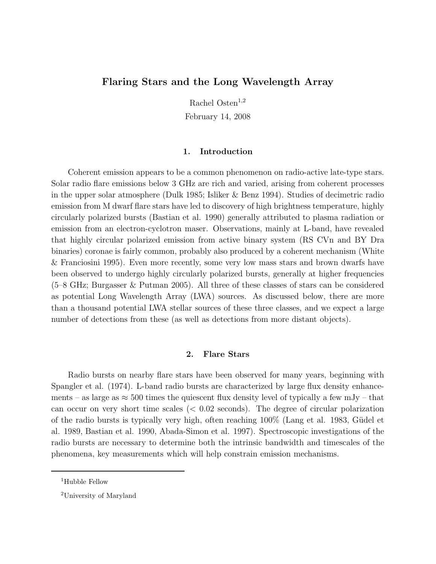# Flaring Stars and the Long Wavelength Array

Rachel Osten $^{1,2}$ 

February 14, 2008

### 1. Introduction

Coherent emission appears to be a common phenomenon on radio-active late-type stars. Solar radio flare emissions below 3 GHz are rich and varied, arising from coherent processes in the upper solar atmosphere (Dulk 1985; Isliker & Benz 1994). Studies of decimetric radio emission from M dwarf flare stars have led to discovery of high brightness temperature, highly circularly polarized bursts (Bastian et al. 1990) generally attributed to plasma radiation or emission from an electron-cyclotron maser. Observations, mainly at L-band, have revealed that highly circular polarized emission from active binary system (RS CVn and BY Dra binaries) coronae is fairly common, probably also produced by a coherent mechanism (White & Franciosini 1995). Even more recently, some very low mass stars and brown dwarfs have been observed to undergo highly circularly polarized bursts, generally at higher frequencies (5–8 GHz; Burgasser & Putman 2005). All three of these classes of stars can be considered as potential Long Wavelength Array (LWA) sources. As discussed below, there are more than a thousand potential LWA stellar sources of these three classes, and we expect a large number of detections from these (as well as detections from more distant objects).

## 2. Flare Stars

Radio bursts on nearby flare stars have been observed for many years, beginning with Spangler et al. (1974). L-band radio bursts are characterized by large flux density enhancements – as large as  $\approx 500$  times the quiescent flux density level of typically a few mJy – that can occur on very short time scales  $\approx 0.02$  seconds). The degree of circular polarization of the radio bursts is typically very high, often reaching  $100\%$  (Lang et al. 1983, Güdel et al. 1989, Bastian et al. 1990, Abada-Simon et al. 1997). Spectroscopic investigations of the radio bursts are necessary to determine both the intrinsic bandwidth and timescales of the phenomena, key measurements which will help constrain emission mechanisms.

 $1$ Hubble Fellow

<sup>2</sup>University of Maryland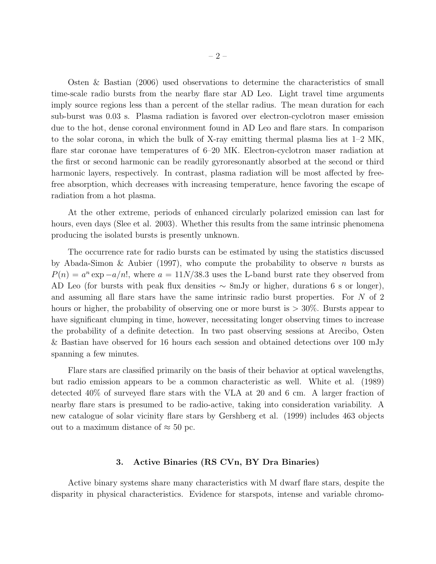Osten & Bastian (2006) used observations to determine the characteristics of small time-scale radio bursts from the nearby flare star AD Leo. Light travel time arguments imply source regions less than a percent of the stellar radius. The mean duration for each sub-burst was 0.03 s. Plasma radiation is favored over electron-cyclotron maser emission due to the hot, dense coronal environment found in AD Leo and flare stars. In comparison to the solar corona, in which the bulk of X-ray emitting thermal plasma lies at  $1-2$  MK, flare star coronae have temperatures of 6–20 MK. Electron-cyclotron maser radiation at the first or second harmonic can be readily gyroresonantly absorbed at the second or third harmonic layers, respectively. In contrast, plasma radiation will be most affected by freefree absorption, which decreases with increasing temperature, hence favoring the escape of radiation from a hot plasma.

At the other extreme, periods of enhanced circularly polarized emission can last for hours, even days (Slee et al. 2003). Whether this results from the same intrinsic phenomena producing the isolated bursts is presently unknown.

The occurrence rate for radio bursts can be estimated by using the statistics discussed by Abada-Simon & Aubier (1997), who compute the probability to observe n bursts as  $P(n) = a^n \exp(-a/n!)$ , where  $a = 11N/38.3$  uses the L-band burst rate they observed from AD Leo (for bursts with peak flux densities  $\sim 8$ mJy or higher, durations 6 s or longer), and assuming all flare stars have the same intrinsic radio burst properties. For N of 2 hours or higher, the probability of observing one or more burst is  $> 30\%$ . Bursts appear to have significant clumping in time, however, necessitating longer observing times to increase the probability of a definite detection. In two past observing sessions at Arecibo, Osten & Bastian have observed for 16 hours each session and obtained detections over 100 mJy spanning a few minutes.

Flare stars are classified primarily on the basis of their behavior at optical wavelengths, but radio emission appears to be a common characteristic as well. White et al. (1989) detected 40% of surveyed flare stars with the VLA at 20 and 6 cm. A larger fraction of nearby flare stars is presumed to be radio-active, taking into consideration variability. A new catalogue of solar vicinity flare stars by Gershberg et al. (1999) includes 463 objects out to a maximum distance of  $\approx 50$  pc.

### 3. Active Binaries (RS CVn, BY Dra Binaries)

Active binary systems share many characteristics with M dwarf flare stars, despite the disparity in physical characteristics. Evidence for starspots, intense and variable chromo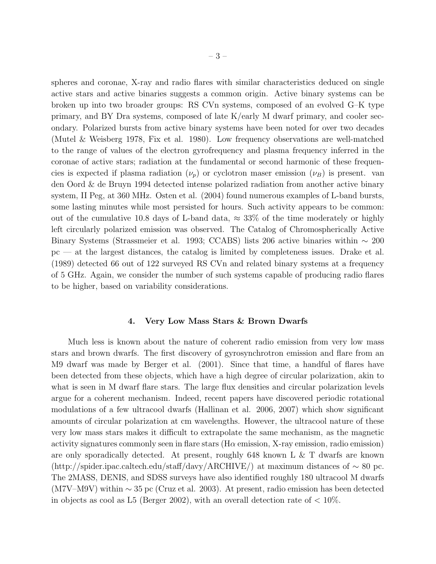spheres and coronae, X-ray and radio flares with similar characteristics deduced on single active stars and active binaries suggests a common origin. Active binary systems can be broken up into two broader groups: RS CVn systems, composed of an evolved G–K type primary, and BY Dra systems, composed of late K/early M dwarf primary, and cooler secondary. Polarized bursts from active binary systems have been noted for over two decades (Mutel & Weisberg 1978, Fix et al. 1980). Low frequency observations are well-matched to the range of values of the electron gyrofrequency and plasma frequency inferred in the coronae of active stars; radiation at the fundamental or second harmonic of these frequencies is expected if plasma radiation  $(\nu_p)$  or cyclotron maser emission  $(\nu_B)$  is present. van den Oord & de Bruyn 1994 detected intense polarized radiation from another active binary system, II Peg, at 360 MHz. Osten et al. (2004) found numerous examples of L-band bursts, some lasting minutes while most persisted for hours. Such activity appears to be common: out of the cumulative 10.8 days of L-band data,  $\approx 33\%$  of the time moderately or highly left circularly polarized emission was observed. The Catalog of Chromospherically Active Binary Systems (Strassmeier et al. 1993; CCABS) lists 206 active binaries within ∼ 200 pc — at the largest distances, the catalog is limited by completeness issues. Drake et al. (1989) detected 66 out of 122 surveyed RS CVn and related binary systems at a frequency of 5 GHz. Again, we consider the number of such systems capable of producing radio flares to be higher, based on variability considerations.

### 4. Very Low Mass Stars & Brown Dwarfs

Much less is known about the nature of coherent radio emission from very low mass stars and brown dwarfs. The first discovery of gyrosynchrotron emission and flare from an M9 dwarf was made by Berger et al. (2001). Since that time, a handful of flares have been detected from these objects, which have a high degree of circular polarization, akin to what is seen in M dwarf flare stars. The large flux densities and circular polarization levels argue for a coherent mechanism. Indeed, recent papers have discovered periodic rotational modulations of a few ultracool dwarfs (Hallinan et al. 2006, 2007) which show significant amounts of circular polarization at cm wavelengths. However, the ultracool nature of these very low mass stars makes it difficult to extrapolate the same mechanism, as the magnetic activity signatures commonly seen in flare stars ( $H\alpha$  emission, X-ray emission, radio emission) are only sporadically detected. At present, roughly 648 known L & T dwarfs are known (http://spider.ipac.caltech.edu/staff/davy/ARCHIVE/) at maximum distances of ∼ 80 pc. The 2MASS, DENIS, and SDSS surveys have also identified roughly 180 ultracool M dwarfs  $(M7V–M9V)$  within  $\sim$  35 pc (Cruz et al. 2003). At present, radio emission has been detected in objects as cool as L5 (Berger 2002), with an overall detection rate of  $\lt 10\%$ .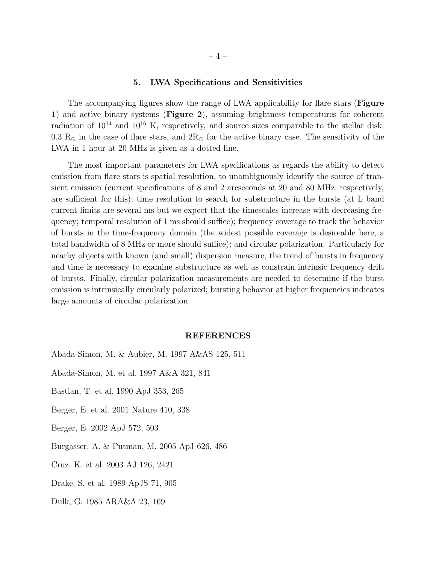#### 5. LWA Specifications and Sensitivities

The accompanying figures show the range of LWA applicability for flare stars (Figure 1) and active binary systems (Figure 2), assuming brightness temperatures for coherent radiation of  $10^{14}$  and  $10^{16}$  K, respectively, and source sizes comparable to the stellar disk; 0.3  $R_{\odot}$  in the case of flare stars, and  $2R_{\odot}$  for the active binary case. The sensitivity of the LWA in 1 hour at 20 MHz is given as a dotted line.

The most important parameters for LWA specifications as regards the ability to detect emission from flare stars is spatial resolution, to unambiguously identify the source of transient emission (current specifications of 8 and 2 arcseconds at 20 and 80 MHz, respectively, are sufficient for this); time resolution to search for substructure in the bursts (at L band current limits are several ms but we expect that the timescales increase with decreasing frequency; temporal resolution of 1 ms should suffice); frequency coverage to track the behavior of bursts in the time-frequency domain (the widest possible coverage is desireable here, a total bandwidth of 8 MHz or more should suffice); and circular polarization. Particularly for nearby objects with known (and small) dispersion measure, the trend of bursts in frequency and time is necessary to examine substructure as well as constrain intrinsic frequency drift of bursts. Finally, circular polarization measurements are needed to determine if the burst emission is intrinsically circularly polarized; bursting behavior at higher frequencies indicates large amounts of circular polarization.

#### REFERENCES

Abada-Simon, M. & Aubier, M. 1997 A&AS 125, 511

- Abada-Simon, M. et al. 1997 A&A 321, 841
- Bastian, T. et al. 1990 ApJ 353, 265
- Berger, E. et al. 2001 Nature 410, 338
- Berger, E. 2002 ApJ 572, 503
- Burgasser, A. & Putman, M. 2005 ApJ 626, 486
- Cruz, K. et al. 2003 AJ 126, 2421
- Drake, S. et al. 1989 ApJS 71, 905
- Dulk, G. 1985 ARA&A 23, 169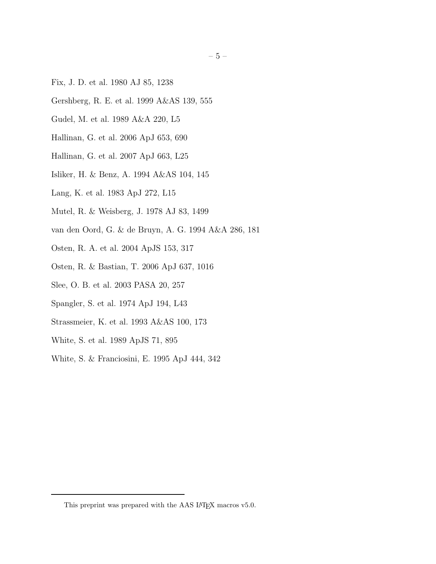- Fix, J. D. et al. 1980 AJ 85, 1238
- Gershberg, R. E. et al. 1999 A&AS 139, 555
- Gudel, M. et al. 1989 A&A 220, L5
- Hallinan, G. et al. 2006 ApJ 653, 690
- Hallinan, G. et al. 2007 ApJ 663, L25
- Isliker, H. & Benz, A. 1994 A&AS 104, 145
- Lang, K. et al. 1983 ApJ 272, L15
- Mutel, R. & Weisberg, J. 1978 AJ 83, 1499
- van den Oord, G. & de Bruyn, A. G. 1994 A&A 286, 181
- Osten, R. A. et al. 2004 ApJS 153, 317
- Osten, R. & Bastian, T. 2006 ApJ 637, 1016
- Slee, O. B. et al. 2003 PASA 20, 257
- Spangler, S. et al. 1974 ApJ 194, L43
- Strassmeier, K. et al. 1993 A&AS 100, 173
- White, S. et al. 1989 ApJS 71, 895
- White, S. & Franciosini, E. 1995 ApJ 444, 342

This preprint was prepared with the AAS IATEX macros v5.0.  $\,$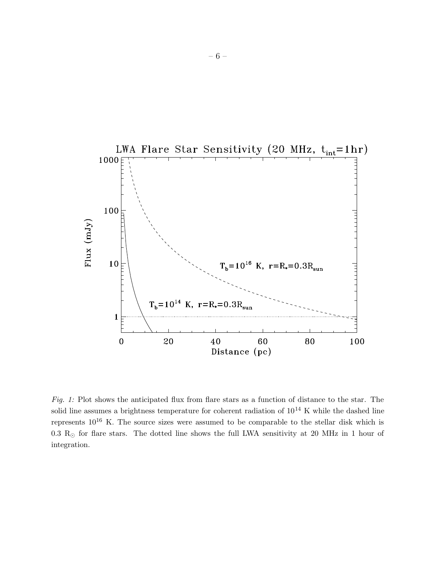

Fig. 1: Plot shows the anticipated flux from flare stars as a function of distance to the star. The solid line assumes a brightness temperature for coherent radiation of  $10^{14}$  K while the dashed line represents  $10^{16}$  K. The source sizes were assumed to be comparable to the stellar disk which is 0.3  $R_{\odot}$  for flare stars. The dotted line shows the full LWA sensitivity at 20 MHz in 1 hour of integration.